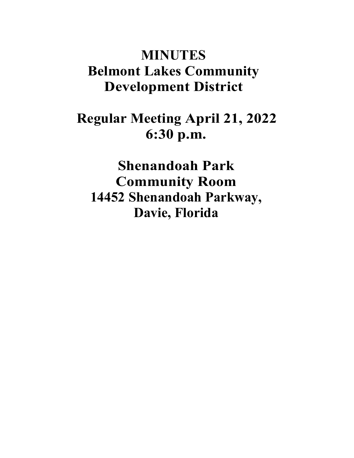# **MINUTES Belmont Lakes Community Development District**

## **Regular Meeting April 21, 2022 6:30 p.m.**

**Shenandoah Park Community Room 14452 Shenandoah Parkway, Davie, Florida**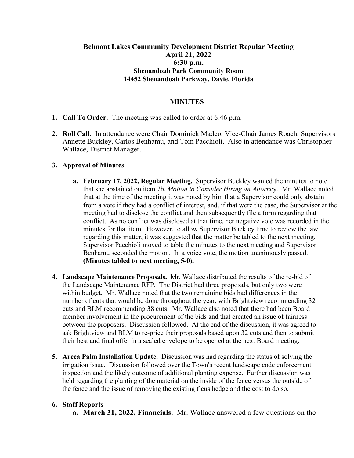### **Belmont Lakes Community Development District Regular Meeting April 21, 2022 6:30 p.m. Shenandoah Park Community Room 14452 Shenandoah Parkway, Davie, Florida**

#### **MINUTES**

- **1. Call To Order.** The meeting was called to order at 6:46 p.m.
- **2. Roll Call.** In attendance were Chair Dominick Madeo, Vice-Chair James Roach, Supervisors Annette Buckley, Carlos Benhamu, and Tom Pacchioli. Also in attendance was Christopher Wallace, District Manager.

#### **3. Approval of Minutes**

- **a. February 17, 2022, Regular Meeting.** Supervisor Buckley wanted the minutes to note that she abstained on item 7b, *Motion to Consider Hiring an Attorn*ey. Mr. Wallace noted that at the time of the meeting it was noted by him that a Supervisor could only abstain from a vote if they had a conflict of interest, and, if that were the case, the Supervisor at the meeting had to disclose the conflict and then subsequently file a form regarding that conflict. As no conflict was disclosed at that time, her negative vote was recorded in the minutes for that item. However, to allow Supervisor Buckley time to review the law regarding this matter, it was suggested that the matter be tabled to the next meeting. Supervisor Pacchioli moved to table the minutes to the next meeting and Supervisor Benhamu seconded the motion. In a voice vote, the motion unanimously passed. **(Minutes tabled to next meeting, 5-0).**
- **4. Landscape Maintenance Proposals.** Mr. Wallace distributed the results of the re-bid of the Landscape Maintenance RFP. The District had three proposals, but only two were within budget. Mr. Wallace noted that the two remaining bids had differences in the number of cuts that would be done throughout the year, with Brightview recommending 32 cuts and BLM recommending 38 cuts. Mr. Wallace also noted that there had been Board member involvement in the procurement of the bids and that created an issue of fairness between the proposers. Discussion followed. At the end of the discussion, it was agreed to ask Brightview and BLM to re-price their proposals based upon 32 cuts and then to submit their best and final offer in a sealed envelope to be opened at the next Board meeting.
- **5. Areca Palm Installation Update.** Discussion was had regarding the status of solving the irrigation issue. Discussion followed over the Town's recent landscape code enforcement inspection and the likely outcome of additional planting expense. Further discussion was held regarding the planting of the material on the inside of the fence versus the outside of the fence and the issue of removing the existing ficus hedge and the cost to do so.

#### **6. Staff Reports**

**a. March 31, 2022, Financials.** Mr. Wallace answered a few questions on the